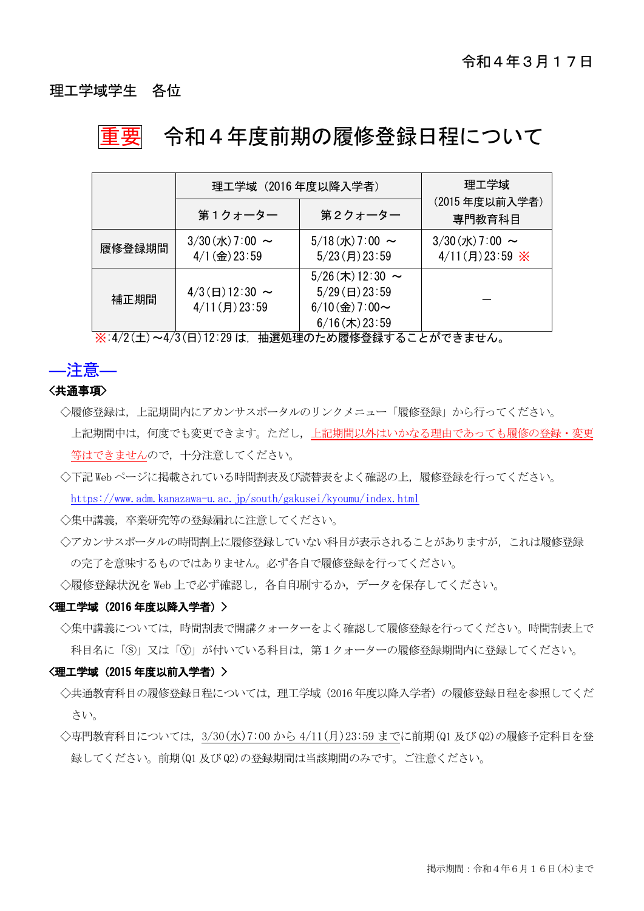### 理工学域学生 各位

# 重要 令和4年度前期の履修登録日程について

|        | 理工学域 (2016年度以降入学者)                                |                                                                                            | 理工学域                                    |
|--------|---------------------------------------------------|--------------------------------------------------------------------------------------------|-----------------------------------------|
|        | 第1クォーター                                           | 第2クォーター                                                                                    | (2015年度以前入学者)<br>専門教育科目                 |
| 履修登録期間 | $3/30$ (水) 7:00 ~<br>$4/1$ (金) 23:59              | $5/18$ (水) 7:00 ~<br>$5/23$ (月) 23:59                                                      | $3/30$ (水) 7:00 ~<br>$4/11$ (月) 23:59 ※ |
| 補正期間   | $4/3$ ( $\boxminus$ ) 12:30 ~<br>$4/11$ (月) 23:59 | $5/26$ (木) 12:30 ~<br>$5/29$ ( $\boxminus$ ) 23:59<br>$6/10$ (金) 7:00~<br>$6/16$ (木) 23:59 |                                         |

※:4/2(土)~4/3(日)12:29 は,抽選処理のため履修登録することができません。

### ―注意― <共通事項>

- ◇履修登録は、上記期間内にアカンサスポータルのリンクメニュー「履修登録」から行ってください。 上記期間中は,何度でも変更できます。ただし,上記期間以外はいかなる理由であっても履修の登録・変更 等はできませんので,十分注意してください。
- ◇下記 Web ページに掲載されている時間割表及び読替表をよく確認の上,履修登録を行ってください。 <https://www.adm.kanazawa-u.ac.jp/south/gakusei/kyoumu/index.html>

◇集中講義,卒業研究等の登録漏れに注意してください。

◇アカンサスポータルの時間割上に履修登録していない科目が表示されることがありますが、これは履修登録 の完了を意味するものではありません。必ず各自で履修登録を行ってください。

◇履修登録状況を Web 上で必ず確認し, 各自印刷するか, データを保存してください。

#### <理工学域(2016 年度以降入学者)>

◇集中講義については、時間割表で開講クォーターをよく確認して履修登録を行ってください。時間割表上で 科目名に「ⓢ」又は「Ⓨ」が付いている科目は,第1クォーターの履修登録期間内に登録してください。

#### <理工学域(2015 年度以前入学者)>

- ◇共通教育科目の履修登録日程については、理工学域(2016年度以降入学者)の履修登録日程を参照してくだ さい。
- ◇専門教育科目については,3/30(水)7:00 から 4/11(月)23:59 までに前期(Q1 及び Q2)の履修予定科目を登 録してください。前期(Q1 及び Q2)の登録期間は当該期間のみです。ご注意ください。